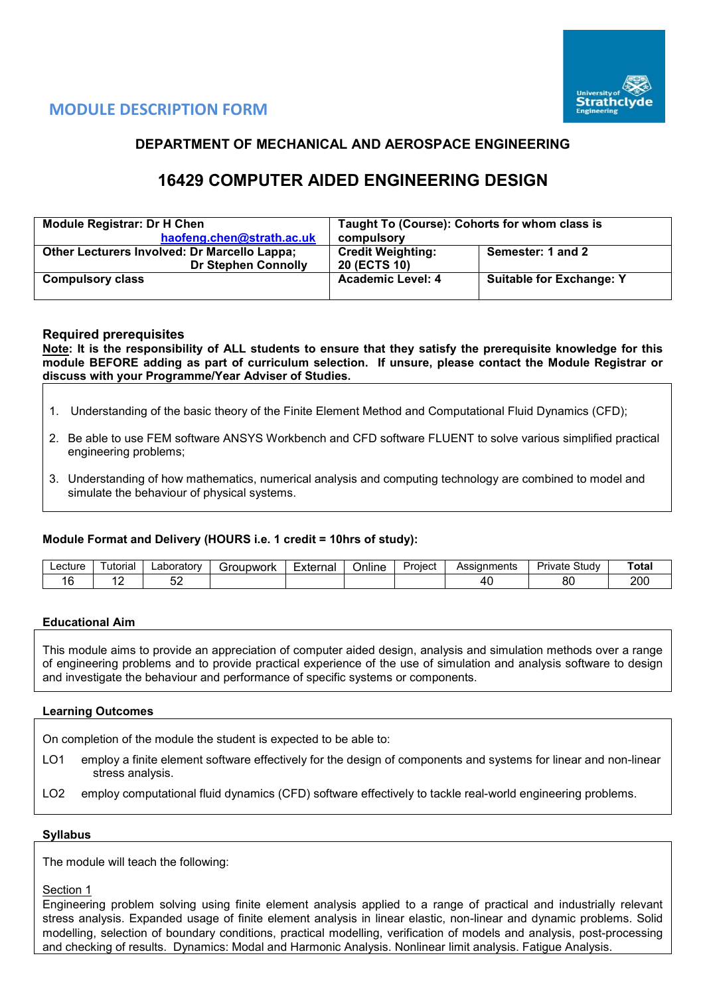



# **DEPARTMENT OF MECHANICAL AND AEROSPACE ENGINEERING**

# **16429 COMPUTER AIDED ENGINEERING DESIGN**

| <b>Module Registrar: Dr H Chen</b>                                                | Taught To (Course): Cohorts for whom class is |                                 |  |  |  |  |
|-----------------------------------------------------------------------------------|-----------------------------------------------|---------------------------------|--|--|--|--|
| haofeng.chen@strath.ac.uk                                                         | compulsory                                    |                                 |  |  |  |  |
| <b>Other Lecturers Involved: Dr Marcello Lappa;</b><br><b>Dr Stephen Connolly</b> | <b>Credit Weighting:</b><br>20 (ECTS 10)      | Semester: 1 and 2               |  |  |  |  |
| <b>Compulsory class</b>                                                           | <b>Academic Level: 4</b>                      | <b>Suitable for Exchange: Y</b> |  |  |  |  |

## **Required prerequisites**

**Note: It is the responsibility of ALL students to ensure that they satisfy the prerequisite knowledge for this module BEFORE adding as part of curriculum selection. If unsure, please contact the Module Registrar or discuss with your Programme/Year Adviser of Studies.** 

- 1. Understanding of the basic theory of the Finite Element Method and Computational Fluid Dynamics (CFD);
- 2. Be able to use FEM software ANSYS Workbench and CFD software FLUENT to solve various simplified practical engineering problems;
- 3. Understanding of how mathematics, numerical analysis and computing technology are combined to model and simulate the behaviour of physical systems.

## **Module Format and Delivery (HOURS i.e. 1 credit = 10hrs of study):**

| Lecture | utorial | ∟aborator⊵ | iroupwork | $\overline{\phantom{0}}$<br>External | .<br>Online | $\overline{\phantom{0}}$<br>Project | <b>\ssignments</b><br>ASSIUI. | $\sim$<br>3tudv<br>Private | Total           |
|---------|---------|------------|-----------|--------------------------------------|-------------|-------------------------------------|-------------------------------|----------------------------|-----------------|
|         |         | ◡▵         |           |                                      |             |                                     |                               | or<br>õU                   | 20 <sub>C</sub> |

#### **Educational Aim**

This module aims to provide an appreciation of computer aided design, analysis and simulation methods over a range of engineering problems and to provide practical experience of the use of simulation and analysis software to design and investigate the behaviour and performance of specific systems or components.

## **Learning Outcomes**

On completion of the module the student is expected to be able to:

- LO1 employ a finite element software effectively for the design of components and systems for linear and non-linear stress analysis.
- LO2 employ computational fluid dynamics (CFD) software effectively to tackle real-world engineering problems.

#### **Syllabus**

The module will teach the following:

Section 1

Engineering problem solving using finite element analysis applied to a range of practical and industrially relevant stress analysis. Expanded usage of finite element analysis in linear elastic, non-linear and dynamic problems. Solid modelling, selection of boundary conditions, practical modelling, verification of models and analysis, post-processing and checking of results. Dynamics: Modal and Harmonic Analysis. Nonlinear limit analysis. Fatigue Analysis.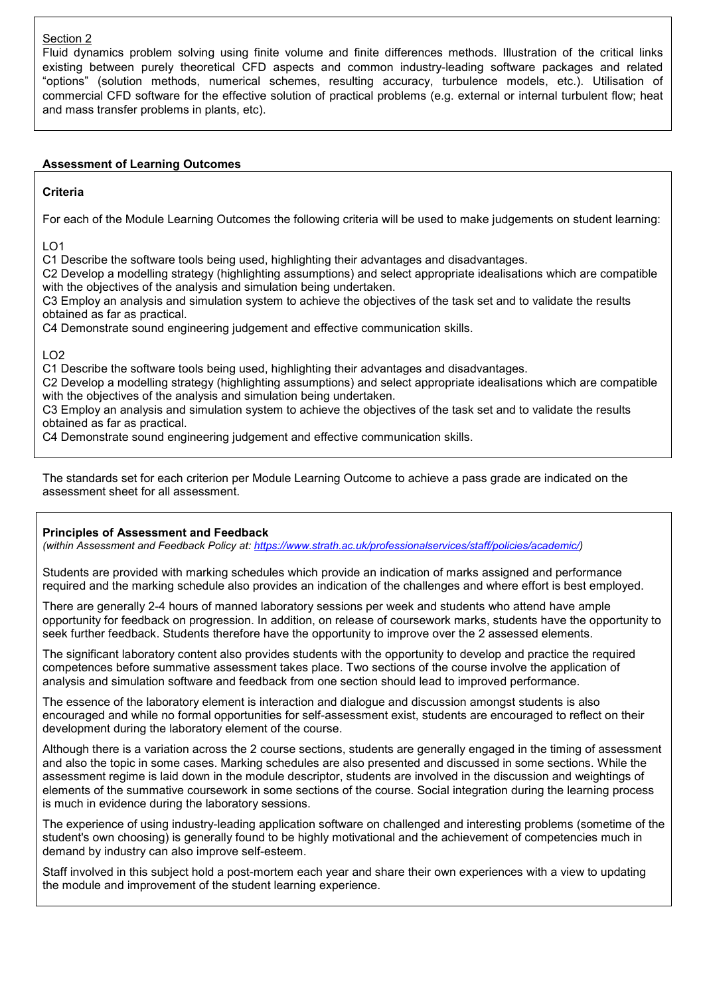## Section 2

Fluid dynamics problem solving using finite volume and finite differences methods. Illustration of the critical links existing between purely theoretical CFD aspects and common industry-leading software packages and related "options" (solution methods, numerical schemes, resulting accuracy, turbulence models, etc.). Utilisation of commercial CFD software for the effective solution of practical problems (e.g. external or internal turbulent flow; heat and mass transfer problems in plants, etc).

## **Assessment of Learning Outcomes**

## **Criteria**

For each of the Module Learning Outcomes the following criteria will be used to make judgements on student learning:

LO1

C1 Describe the software tools being used, highlighting their advantages and disadvantages.

C2 Develop a modelling strategy (highlighting assumptions) and select appropriate idealisations which are compatible with the objectives of the analysis and simulation being undertaken.

C3 Employ an analysis and simulation system to achieve the objectives of the task set and to validate the results obtained as far as practical.

C4 Demonstrate sound engineering judgement and effective communication skills.

## LO2

C1 Describe the software tools being used, highlighting their advantages and disadvantages.

C2 Develop a modelling strategy (highlighting assumptions) and select appropriate idealisations which are compatible with the objectives of the analysis and simulation being undertaken.

C3 Employ an analysis and simulation system to achieve the objectives of the task set and to validate the results obtained as far as practical.

C4 Demonstrate sound engineering judgement and effective communication skills.

The standards set for each criterion per Module Learning Outcome to achieve a pass grade are indicated on the assessment sheet for all assessment.

## **Principles of Assessment and Feedback**

*(within Assessment and Feedback Policy at: [https://www.strath.ac.uk/professionalservices/staff/policies/academic/\)](https://www.strath.ac.uk/professionalservices/staff/policies/academic/)*

Students are provided with marking schedules which provide an indication of marks assigned and performance required and the marking schedule also provides an indication of the challenges and where effort is best employed.

There are generally 2-4 hours of manned laboratory sessions per week and students who attend have ample opportunity for feedback on progression. In addition, on release of coursework marks, students have the opportunity to seek further feedback. Students therefore have the opportunity to improve over the 2 assessed elements.

The significant laboratory content also provides students with the opportunity to develop and practice the required competences before summative assessment takes place. Two sections of the course involve the application of analysis and simulation software and feedback from one section should lead to improved performance.

The essence of the laboratory element is interaction and dialogue and discussion amongst students is also encouraged and while no formal opportunities for self-assessment exist, students are encouraged to reflect on their development during the laboratory element of the course.

Although there is a variation across the 2 course sections, students are generally engaged in the timing of assessment and also the topic in some cases. Marking schedules are also presented and discussed in some sections. While the assessment regime is laid down in the module descriptor, students are involved in the discussion and weightings of elements of the summative coursework in some sections of the course. Social integration during the learning process is much in evidence during the laboratory sessions.

The experience of using industry-leading application software on challenged and interesting problems (sometime of the student's own choosing) is generally found to be highly motivational and the achievement of competencies much in demand by industry can also improve self-esteem.

Staff involved in this subject hold a post-mortem each year and share their own experiences with a view to updating the module and improvement of the student learning experience.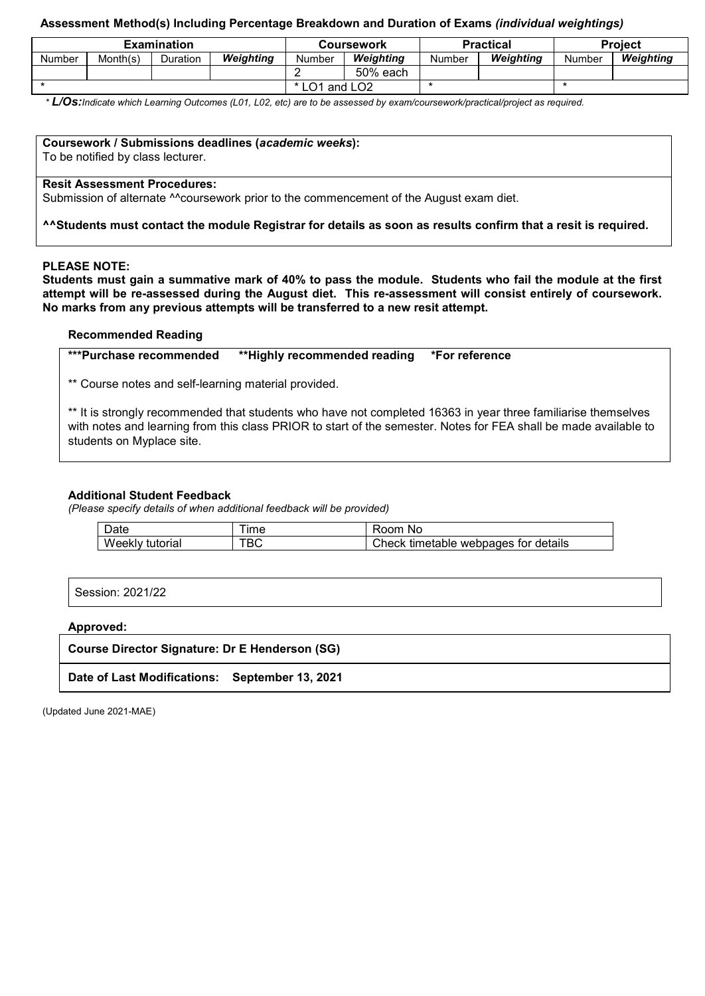#### **Assessment Method(s) Including Percentage Breakdown and Duration of Exams** *(individual weightings)*

| <b>Examination</b> |          |          |           |                              | <b>Coursework</b> |        | <b>Practical</b> | <b>Project</b> |                  |  |
|--------------------|----------|----------|-----------|------------------------------|-------------------|--------|------------------|----------------|------------------|--|
| Number             | Month(s) | Duration | Weiahtina | Number                       | Weiahtina         | Number | Weiahtina        | Number         | <b>Weighting</b> |  |
|                    |          |          |           |                              | 50% each          |        |                  |                |                  |  |
|                    |          |          |           | * LO1<br>and LO <sub>2</sub> |                   |        |                  |                |                  |  |

*\* L/Os:Indicate which Learning Outcomes (L01, L02, etc) are to be assessed by exam/coursework/practical/project as required.*

### **Coursework / Submissions deadlines (***academic weeks***):**

To be notified by class lecturer.

#### **Resit Assessment Procedures:**

Submission of alternate <sup>^^</sup>coursework prior to the commencement of the August exam diet.

**^^Students must contact the module Registrar for details as soon as results confirm that a resit is required.**

#### **PLEASE NOTE:**

**Students must gain a summative mark of 40% to pass the module. Students who fail the module at the first attempt will be re-assessed during the August diet. This re-assessment will consist entirely of coursework. No marks from any previous attempts will be transferred to a new resit attempt.**

#### **Recommended Reading**

**\*\*\*Purchase recommended \*\*Highly recommended reading \*For reference** 

\*\* Course notes and self-learning material provided.

\*\* It is strongly recommended that students who have not completed 16363 in year three familiarise themselves with notes and learning from this class PRIOR to start of the semester. Notes for FEA shall be made available to students on Myplace site.

#### **Additional Student Feedback**

*(Please specify details of when additional feedback will be provided)*

| Date            | ıme | .No<br>Room.                            |
|-----------------|-----|-----------------------------------------|
| Weekly tutorial | твс | Check<br>timetable webpages for details |

Session: 2021/22

**Approved:**

**Course Director Signature: Dr E Henderson (SG)**

**Date of Last Modifications: September 13, 2021**

(Updated June 2021-MAE)